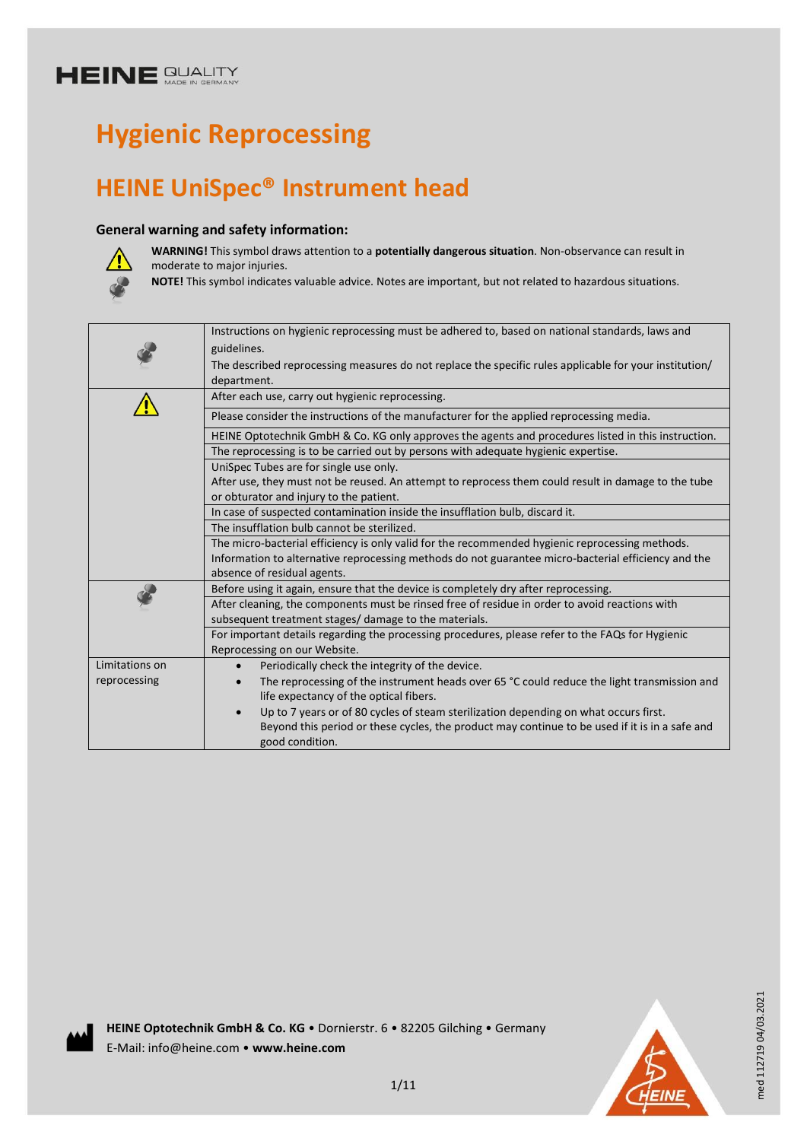# **Hygienic Reprocessing**

## **HEINE UniSpec® Instrument head**

#### **General warning and safety information:**



**WARNING!** This symbol draws attention to a **potentially dangerous situation**. Non-observance can result in moderate to major injuries.

**NOTE!** This symbol indicates valuable advice. Notes are important, but not related to hazardous situations.

|                                         | Instructions on hygienic reprocessing must be adhered to, based on national standards, laws and          |  |  |  |  |
|-----------------------------------------|----------------------------------------------------------------------------------------------------------|--|--|--|--|
|                                         | guidelines.                                                                                              |  |  |  |  |
|                                         | The described reprocessing measures do not replace the specific rules applicable for your institution/   |  |  |  |  |
|                                         | department.                                                                                              |  |  |  |  |
|                                         | After each use, carry out hygienic reprocessing.                                                         |  |  |  |  |
|                                         | Please consider the instructions of the manufacturer for the applied reprocessing media.                 |  |  |  |  |
|                                         | HEINE Optotechnik GmbH & Co. KG only approves the agents and procedures listed in this instruction.      |  |  |  |  |
|                                         | The reprocessing is to be carried out by persons with adequate hygienic expertise.                       |  |  |  |  |
|                                         | UniSpec Tubes are for single use only.                                                                   |  |  |  |  |
|                                         | After use, they must not be reused. An attempt to reprocess them could result in damage to the tube      |  |  |  |  |
| or obturator and injury to the patient. |                                                                                                          |  |  |  |  |
|                                         | In case of suspected contamination inside the insufflation bulb, discard it.                             |  |  |  |  |
|                                         | The insufflation bulb cannot be sterilized.                                                              |  |  |  |  |
|                                         | The micro-bacterial efficiency is only valid for the recommended hygienic reprocessing methods.          |  |  |  |  |
|                                         | Information to alternative reprocessing methods do not guarantee micro-bacterial efficiency and the      |  |  |  |  |
|                                         | absence of residual agents.                                                                              |  |  |  |  |
|                                         | Before using it again, ensure that the device is completely dry after reprocessing.                      |  |  |  |  |
|                                         | After cleaning, the components must be rinsed free of residue in order to avoid reactions with           |  |  |  |  |
|                                         | subsequent treatment stages/ damage to the materials.                                                    |  |  |  |  |
|                                         | For important details regarding the processing procedures, please refer to the FAQs for Hygienic         |  |  |  |  |
|                                         | Reprocessing on our Website.                                                                             |  |  |  |  |
| Limitations on                          | Periodically check the integrity of the device.<br>$\bullet$                                             |  |  |  |  |
| reprocessing                            | The reprocessing of the instrument heads over 65 °C could reduce the light transmission and<br>$\bullet$ |  |  |  |  |
|                                         | life expectancy of the optical fibers.                                                                   |  |  |  |  |
|                                         | Up to 7 years or of 80 cycles of steam sterilization depending on what occurs first.<br>$\bullet$        |  |  |  |  |
|                                         | Beyond this period or these cycles, the product may continue to be used if it is in a safe and           |  |  |  |  |
|                                         | good condition.                                                                                          |  |  |  |  |
|                                         |                                                                                                          |  |  |  |  |



med 112719 04/03.2021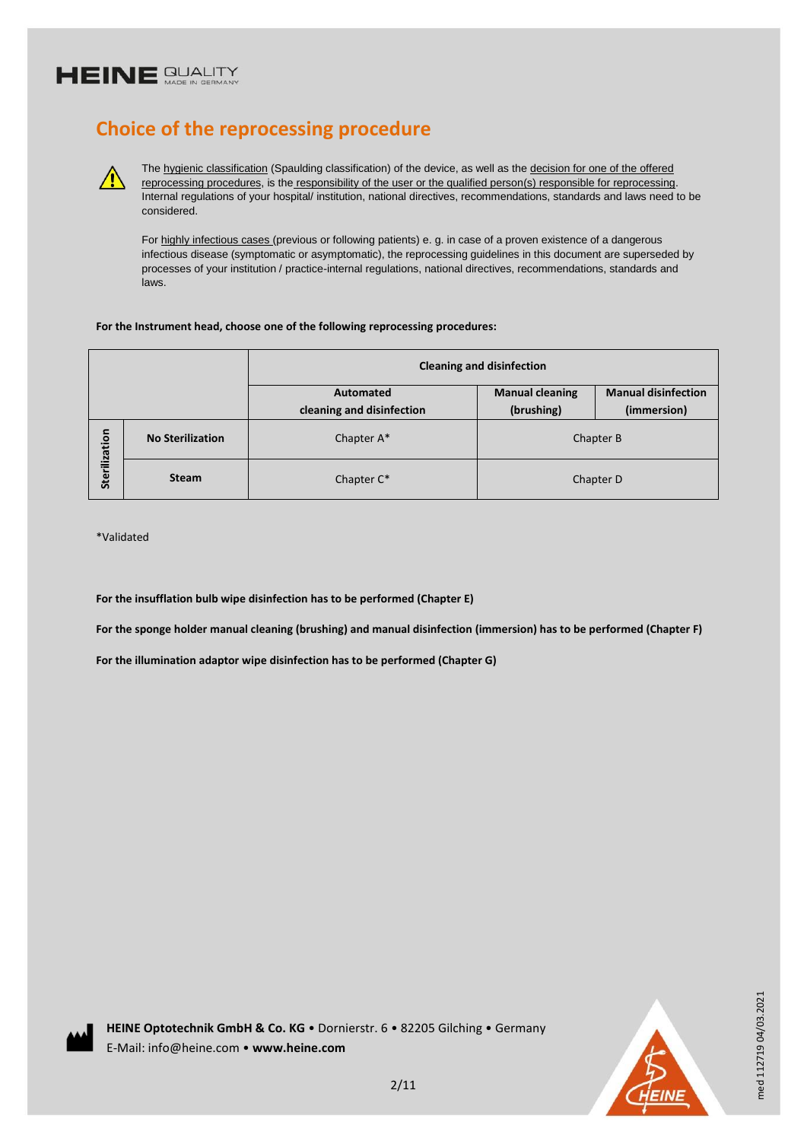### **Choice of the reprocessing procedure**

The hygienic classification (Spaulding classification) of the device, as well as the decision for one of the offered reprocessing procedures, is the responsibility of the user or the qualified person(s) responsible for reprocessing. Internal regulations of your hospital/ institution, national directives, recommendations, standards and laws need to be considered.

For highly infectious cases (previous or following patients) e. g. in case of a proven existence of a dangerous infectious disease (symptomatic or asymptomatic), the reprocessing guidelines in this document are superseded by processes of your institution / practice-internal regulations, national directives, recommendations, standards and laws.

#### **For the Instrument head, choose one of the following reprocessing procedures:**

|               |                         | <b>Cleaning and disinfection</b>       |                                      |                                           |  |
|---------------|-------------------------|----------------------------------------|--------------------------------------|-------------------------------------------|--|
|               |                         | Automated<br>cleaning and disinfection | <b>Manual cleaning</b><br>(brushing) | <b>Manual disinfection</b><br>(immersion) |  |
| Sterilization | <b>No Sterilization</b> | Chapter A*                             | Chapter B                            |                                           |  |
|               | <b>Steam</b>            | Chapter C*                             | Chapter D                            |                                           |  |

\*Validated

**For the insufflation bulb wipe disinfection has to be performed (Chapter E)**

**For the sponge holder manual cleaning (brushing) and manual disinfection (immersion) has to be performed (Chapter F)**

**For the illumination adaptor wipe disinfection has to be performed (Chapter G)**

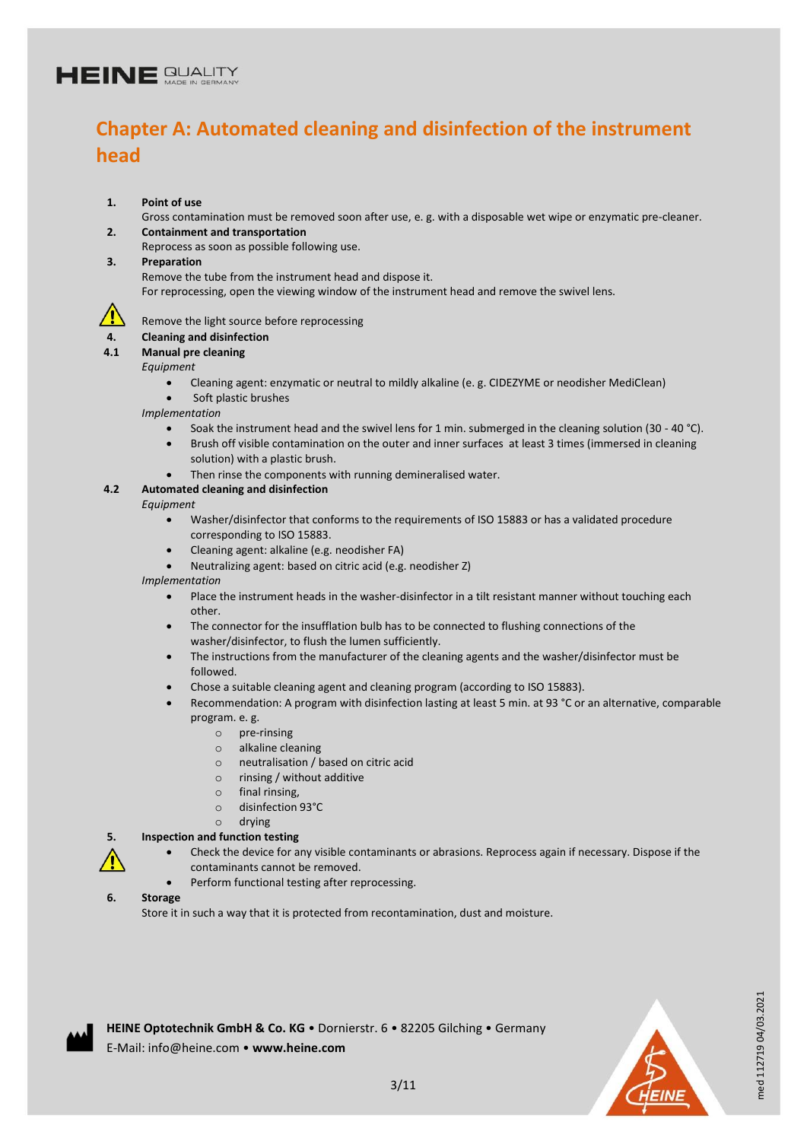## **Chapter A: Automated cleaning and disinfection of the instrument head**

**1. Point of use**

Gross contamination must be removed soon after use, e. g. with a disposable wet wipe or enzymatic pre-cleaner. **2. Containment and transportation**

Reprocess as soon as possible following use.

**3. Preparation**

Remove the tube from the instrument head and dispose it.

For reprocessing, open the viewing window of the instrument head and remove the swivel lens.



Remove the light source before reprocessing

#### **4. Cleaning and disinfection**

**4.1 Manual pre cleaning**

#### *Equipment*

- Cleaning agent: enzymatic or neutral to mildly alkaline (e. g. CIDEZYME or neodisher MediClean)
- Soft plastic brushes

*Implementation*

- Soak the instrument head and the swivel lens for 1 min. submerged in the cleaning solution (30 40 °C).
- Brush off visible contamination on the outer and inner surfaces at least 3 times (immersed in cleaning solution) with a plastic brush.
- Then rinse the components with running demineralised water.

#### **4.2 Automated cleaning and disinfection**

*Equipment*

- Washer/disinfector that conforms to the requirements of ISO 15883 or has a validated procedure corresponding to ISO 15883.
- Cleaning agent: alkaline (e.g. neodisher FA)
- Neutralizing agent: based on citric acid (e.g. neodisher Z)

*Implementation*

- Place the instrument heads in the washer-disinfector in a tilt resistant manner without touching each other.
- The connector for the insufflation bulb has to be connected to flushing connections of the washer/disinfector, to flush the lumen sufficiently.
- The instructions from the manufacturer of the cleaning agents and the washer/disinfector must be followed.
- Chose a suitable cleaning agent and cleaning program (according to ISO 15883).
- Recommendation: A program with disinfection lasting at least 5 min. at 93 °C or an alternative, comparable program. e. g.
	- o pre-rinsing
	- o alkaline cleaning
	- o neutralisation / based on citric acid
	- o rinsing / without additive
	- o final rinsing,
	- o disinfection 93°C
	- o drying

#### **5. Inspection and function testing**

- Check the device for any visible contaminants or abrasions. Reprocess again if necessary. Dispose if the contaminants cannot be removed.
- Perform functional testing after reprocessing.

#### **6. Storage**

Store it in such a way that it is protected from recontamination, dust and moisture.



med 112719 04/03.2021

med 112719 04/03.2021

**HEINE Optotechnik GmbH & Co. KG** • Dornierstr. 6 • 82205 Gilching • Germany E-Mail: info@heine.com • **www.heine.com**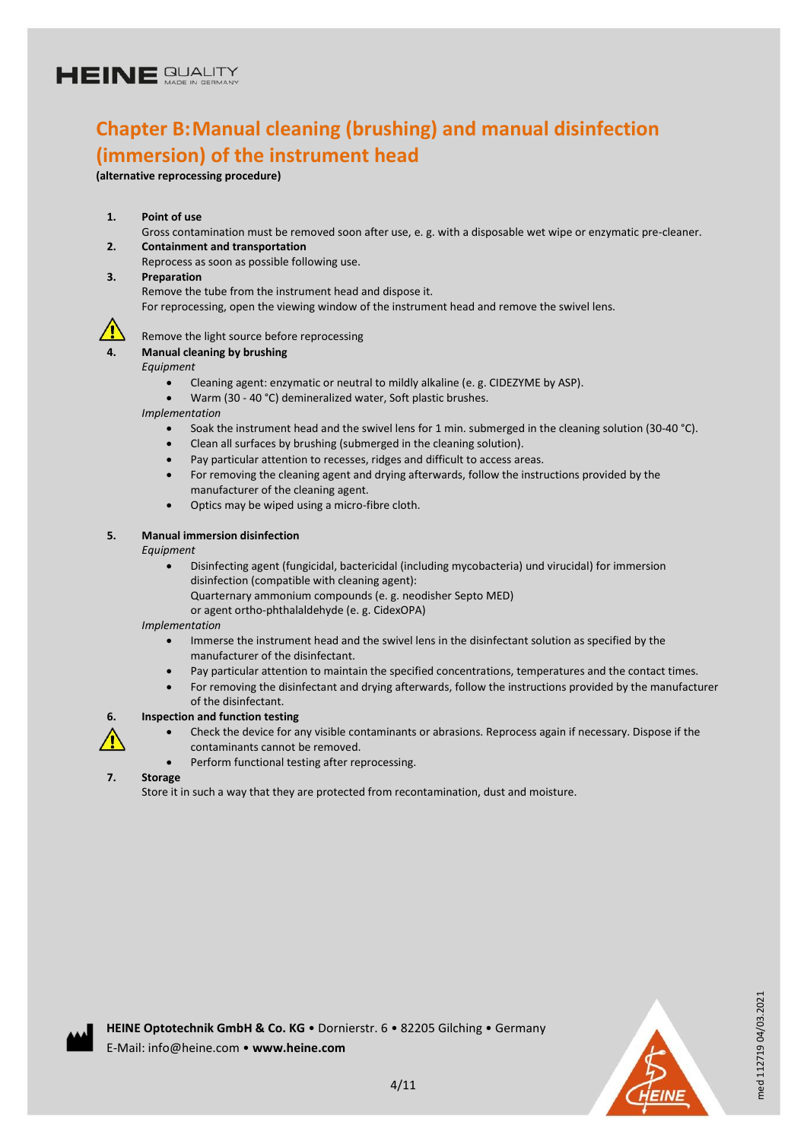### **Chapter B:Manual cleaning (brushing) and manual disinfection (immersion) of the instrument head**

**(alternative reprocessing procedure)**

#### **1. Point of use**

Gross contamination must be removed soon after use, e. g. with a disposable wet wipe or enzymatic pre-cleaner.

- **2. Containment and transportation**
- Reprocess as soon as possible following use.
- **3. Preparation**

Remove the tube from the instrument head and dispose it.

For reprocessing, open the viewing window of the instrument head and remove the swivel lens.



#### Remove the light source before reprocessing

#### **4. Manual cleaning by brushing**

*Equipment*

- Cleaning agent: enzymatic or neutral to mildly alkaline (e. g. CIDEZYME by ASP).
- Warm (30 40 °C) demineralized water, Soft plastic brushes.

*Implementation*

- Soak the instrument head and the swivel lens for 1 min. submerged in the cleaning solution (30-40 °C).
- Clean all surfaces by brushing (submerged in the cleaning solution).
- Pay particular attention to recesses, ridges and difficult to access areas.
- For removing the cleaning agent and drying afterwards, follow the instructions provided by the manufacturer of the cleaning agent.
- Optics may be wiped using a micro-fibre cloth.

#### **5. Manual immersion disinfection**

*Equipment*

- Disinfecting agent (fungicidal, bactericidal (including mycobacteria) und virucidal) for immersion disinfection (compatible with cleaning agent): Quarternary ammonium compounds (e. g. neodisher Septo MED)
	- or agent ortho-phthalaldehyde (e. g. CidexOPA)

*Implementation*

- Immerse the instrument head and the swivel lens in the disinfectant solution as specified by the manufacturer of the disinfectant.
- Pay particular attention to maintain the specified concentrations, temperatures and the contact times.
- For removing the disinfectant and drying afterwards, follow the instructions provided by the manufacturer of the disinfectant.

#### **6. Inspection and function testing**



- Check the device for any visible contaminants or abrasions. Reprocess again if necessary. Dispose if the
- contaminants cannot be removed.
- Perform functional testing after reprocessing.

#### **7. Storage**

Store it in such a way that they are protected from recontamination, dust and moisture.



4/11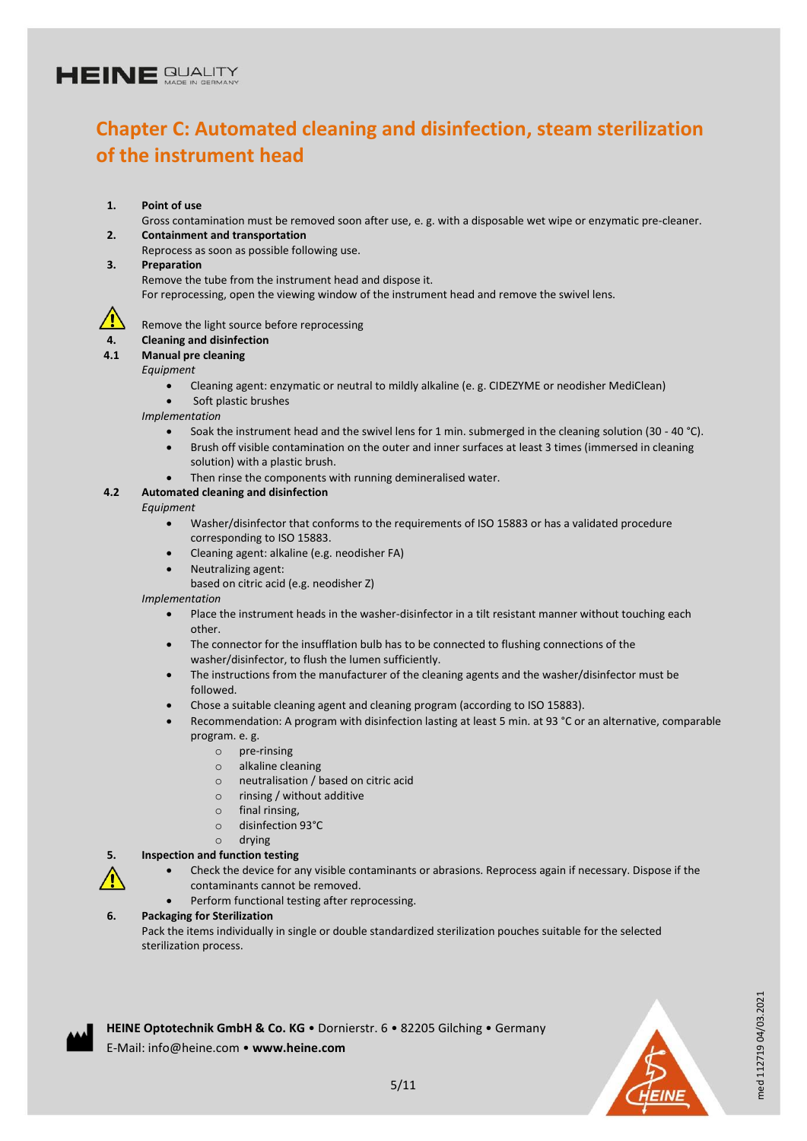## **Chapter C: Automated cleaning and disinfection, steam sterilization of the instrument head**

**1. Point of use**

Gross contamination must be removed soon after use, e. g. with a disposable wet wipe or enzymatic pre-cleaner. **2. Containment and transportation**

- Reprocess as soon as possible following use.
- **3. Preparation**

Remove the tube from the instrument head and dispose it.

For reprocessing, open the viewing window of the instrument head and remove the swivel lens.



Remove the light source before reprocessing

- **4. Cleaning and disinfection**
- **4.1 Manual pre cleaning**
	- *Equipment* 
		- Cleaning agent: enzymatic or neutral to mildly alkaline (e. g. CIDEZYME or neodisher MediClean)
		- Soft plastic brushes

*Implementation*

- Soak the instrument head and the swivel lens for 1 min. submerged in the cleaning solution (30 40 °C).
- Brush off visible contamination on the outer and inner surfaces at least 3 times (immersed in cleaning solution) with a plastic brush.
- Then rinse the components with running demineralised water.

#### **4.2 Automated cleaning and disinfection**

*Equipment*

- Washer/disinfector that conforms to the requirements of ISO 15883 or has a validated procedure corresponding to ISO 15883.
- Cleaning agent: alkaline (e.g. neodisher FA)
- Neutralizing agent:
	- based on citric acid (e.g. neodisher Z)

*Implementation*

- Place the instrument heads in the washer-disinfector in a tilt resistant manner without touching each other.
- The connector for the insufflation bulb has to be connected to flushing connections of the washer/disinfector, to flush the lumen sufficiently.
- The instructions from the manufacturer of the cleaning agents and the washer/disinfector must be followed.
- Chose a suitable cleaning agent and cleaning program (according to ISO 15883).
- Recommendation: A program with disinfection lasting at least 5 min. at 93 °C or an alternative, comparable program. e. g.
	- o pre-rinsing
	- o alkaline cleaning
	- o neutralisation / based on citric acid
	- o rinsing / without additive
	- o final rinsing,
	- o disinfection 93°C
	- o drying

#### **5. Inspection and function testing**

- Check the device for any visible contaminants or abrasions. Reprocess again if necessary. Dispose if the contaminants cannot be removed.
- Perform functional testing after reprocessing.
- **6. Packaging for Sterilization**
	- Pack the items individually in single or double standardized sterilization pouches suitable for the selected sterilization process.





med 112719 04/03.2021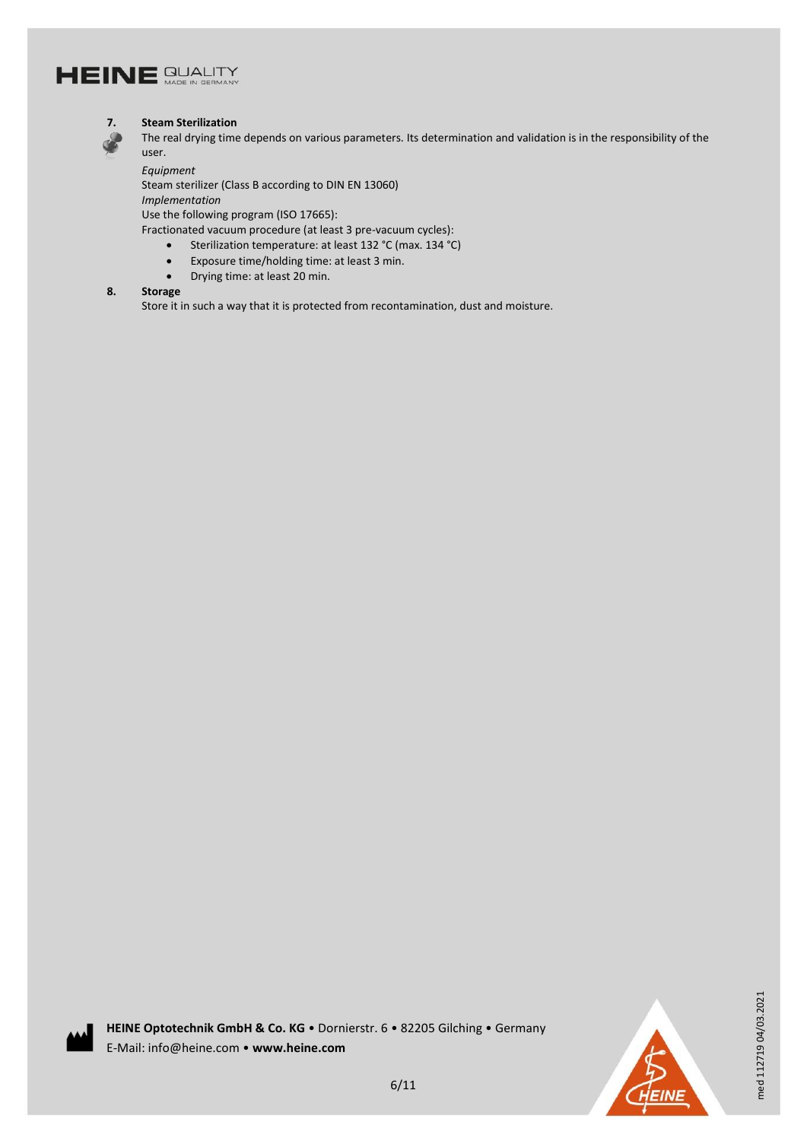



#### **7. Steam Sterilization**

The real drying time depends on various parameters. Its determination and validation is in the responsibility of the user.

*Equipment* Steam sterilizer (Class B according to DIN EN 13060) *Implementation* Use the following program (ISO 17665):

- Fractionated vacuum procedure (at least 3 pre-vacuum cycles):
	- Sterilization temperature: at least 132 °C (max. 134 °C)
	- Exposure time/holding time: at least 3 min.
	- Drying time: at least 20 min.

#### **8. Storage**

Store it in such a way that it is protected from recontamination, dust and moisture.



med 112719 04/03.2021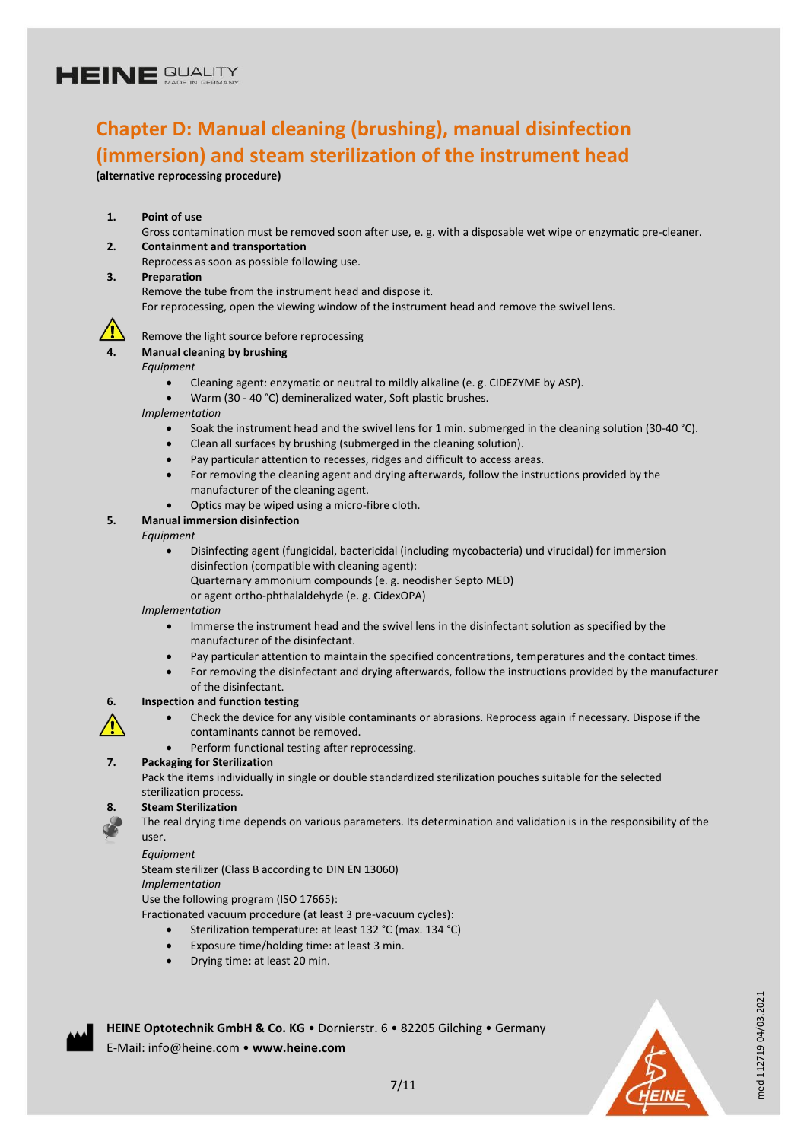### **Chapter D: Manual cleaning (brushing), manual disinfection (immersion) and steam sterilization of the instrument head**

**(alternative reprocessing procedure)**

#### **1. Point of use**

Gross contamination must be removed soon after use, e. g. with a disposable wet wipe or enzymatic pre-cleaner.

- **2. Containment and transportation**
- Reprocess as soon as possible following use.
- **3. Preparation**

Remove the tube from the instrument head and dispose it.

For reprocessing, open the viewing window of the instrument head and remove the swivel lens.



#### Remove the light source before reprocessing

#### **4. Manual cleaning by brushing**

*Equipment*

- Cleaning agent: enzymatic or neutral to mildly alkaline (e. g. CIDEZYME by ASP).
- Warm (30 40 °C) demineralized water, Soft plastic brushes.

*Implementation*

- Soak the instrument head and the swivel lens for 1 min. submerged in the cleaning solution (30-40 °C).
- Clean all surfaces by brushing (submerged in the cleaning solution).
- Pay particular attention to recesses, ridges and difficult to access areas.
- For removing the cleaning agent and drying afterwards, follow the instructions provided by the manufacturer of the cleaning agent.
- Optics may be wiped using a micro-fibre cloth.

#### **5. Manual immersion disinfection**

#### *Equipment*

- Disinfecting agent (fungicidal, bactericidal (including mycobacteria) und virucidal) for immersion disinfection (compatible with cleaning agent): Quarternary ammonium compounds (e. g. neodisher Septo MED)
	- or agent ortho-phthalaldehyde (e. g. CidexOPA)

#### *Implementation*

- Immerse the instrument head and the swivel lens in the disinfectant solution as specified by the manufacturer of the disinfectant.
- Pay particular attention to maintain the specified concentrations, temperatures and the contact times.
- For removing the disinfectant and drying afterwards, follow the instructions provided by the manufacturer of the disinfectant.

#### **6. Inspection and function testing**

- Check the device for any visible contaminants or abrasions. Reprocess again if necessary. Dispose if the contaminants cannot be removed.
- Perform functional testing after reprocessing.

#### **7. Packaging for Sterilization**

Pack the items individually in single or double standardized sterilization pouches suitable for the selected sterilization process.

#### **8. Steam Sterilization**

The real drying time depends on various parameters. Its determination and validation is in the responsibility of the user.

#### *Equipment*

Steam sterilizer (Class B according to DIN EN 13060)

#### *Implementation*

Use the following program (ISO 17665):

Fractionated vacuum procedure (at least 3 pre-vacuum cycles):

- Sterilization temperature: at least 132 °C (max. 134 °C)
- Exposure time/holding time: at least 3 min.
- Drying time: at least 20 min.

E-Mail: info@heine.com • **www.heine.com**

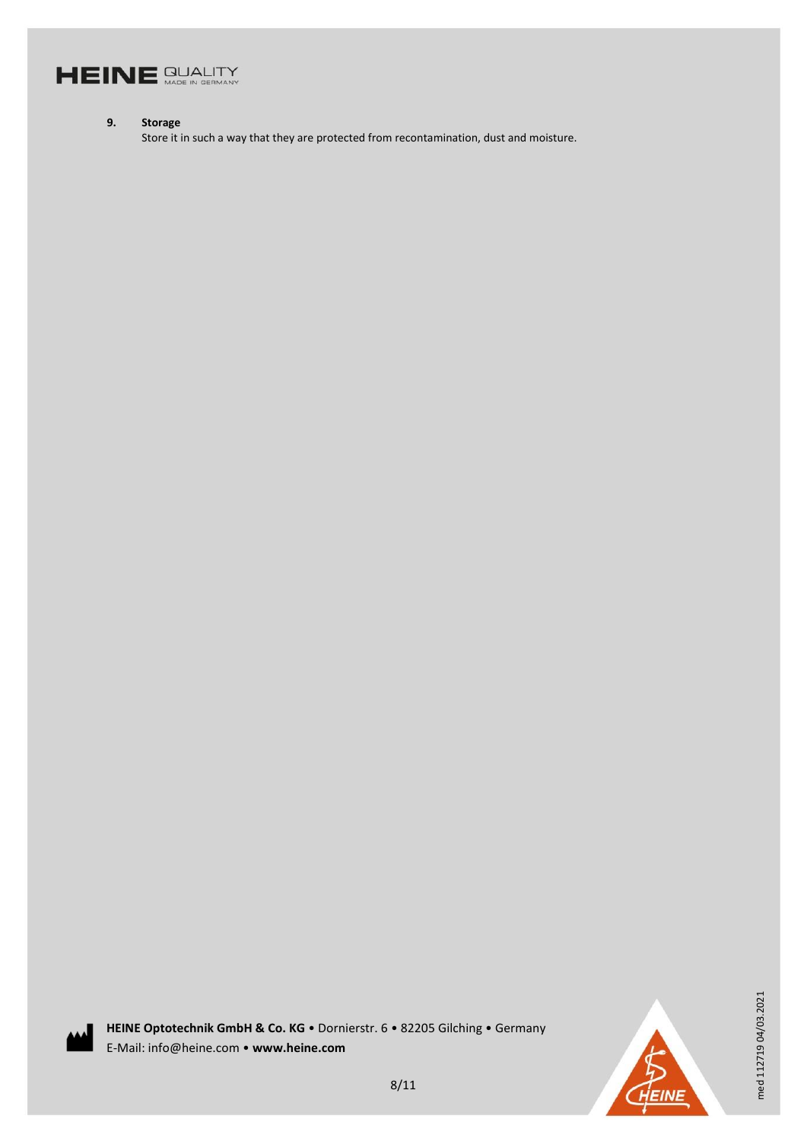

#### **9. Storage**

Store it in such a way that they are protected from recontamination, dust and moisture.



**HEINE Optotechnik GmbH & Co. KG** • Dornierstr. 6 • 82205 Gilching • Germany E-Mail: info@heine.com • **www.heine.com**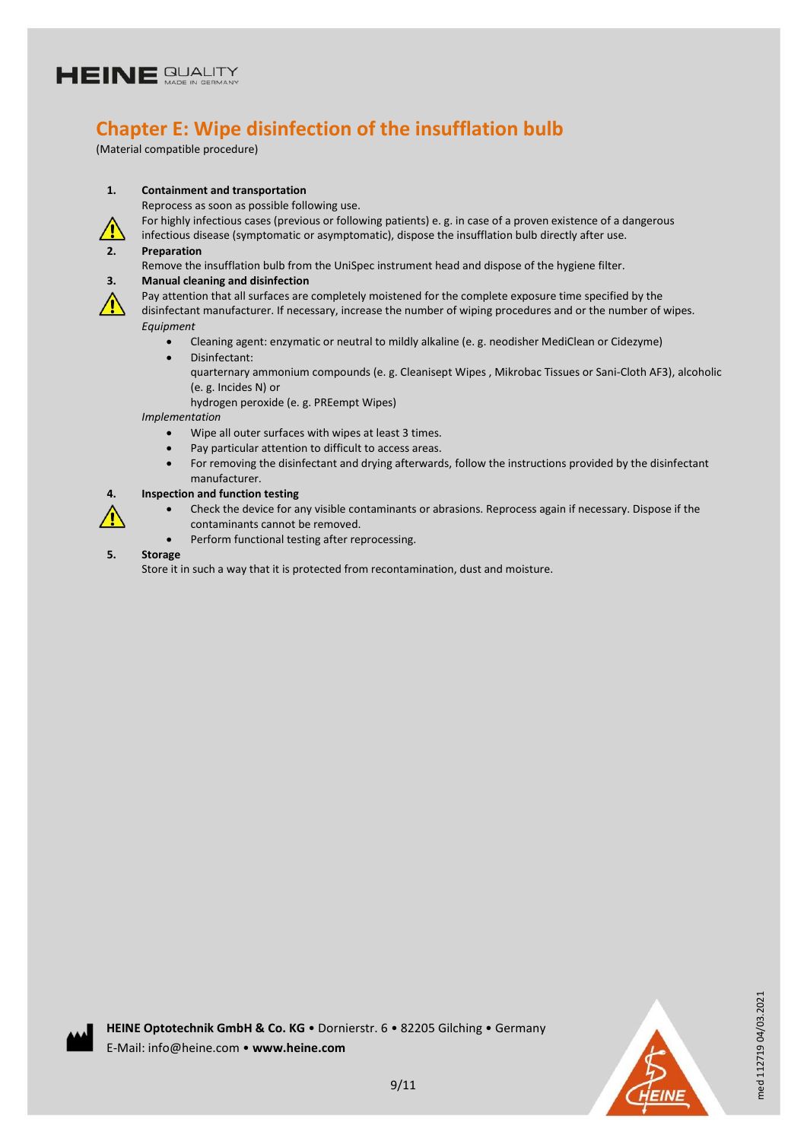

### **Chapter E: Wipe disinfection of the insufflation bulb**

(Material compatible procedure)



Reprocess as soon as possible following use.

For highly infectious cases (previous or following patients) e. g. in case of a proven existence of a dangerous infectious disease (symptomatic or asymptomatic), dispose the insufflation bulb directly after use.

#### **2. Preparation**

Remove the insufflation bulb from the UniSpec instrument head and dispose of the hygiene filter. **3. Manual cleaning and disinfection**



Pay attention that all surfaces are completely moistened for the complete exposure time specified by the disinfectant manufacturer. If necessary, increase the number of wiping procedures and or the number of wipes. *Equipment*

- Cleaning agent: enzymatic or neutral to mildly alkaline (e. g. neodisher MediClean or Cidezyme) Disinfectant:
	- quarternary ammonium compounds (e. g. Cleanisept Wipes , Mikrobac Tissues or Sani-Cloth AF3), alcoholic (e. g. Incides N) or

hydrogen peroxide (e. g. PREempt Wipes)

*Implementation*

- Wipe all outer surfaces with wipes at least 3 times.
- Pay particular attention to difficult to access areas.
- For removing the disinfectant and drying afterwards, follow the instructions provided by the disinfectant manufacturer.

#### **4. Inspection and function testing**

- Check the device for any visible contaminants or abrasions. Reprocess again if necessary. Dispose if the contaminants cannot be removed.
- Perform functional testing after reprocessing.
- **5. Storage**

Store it in such a way that it is protected from recontamination, dust and moisture.

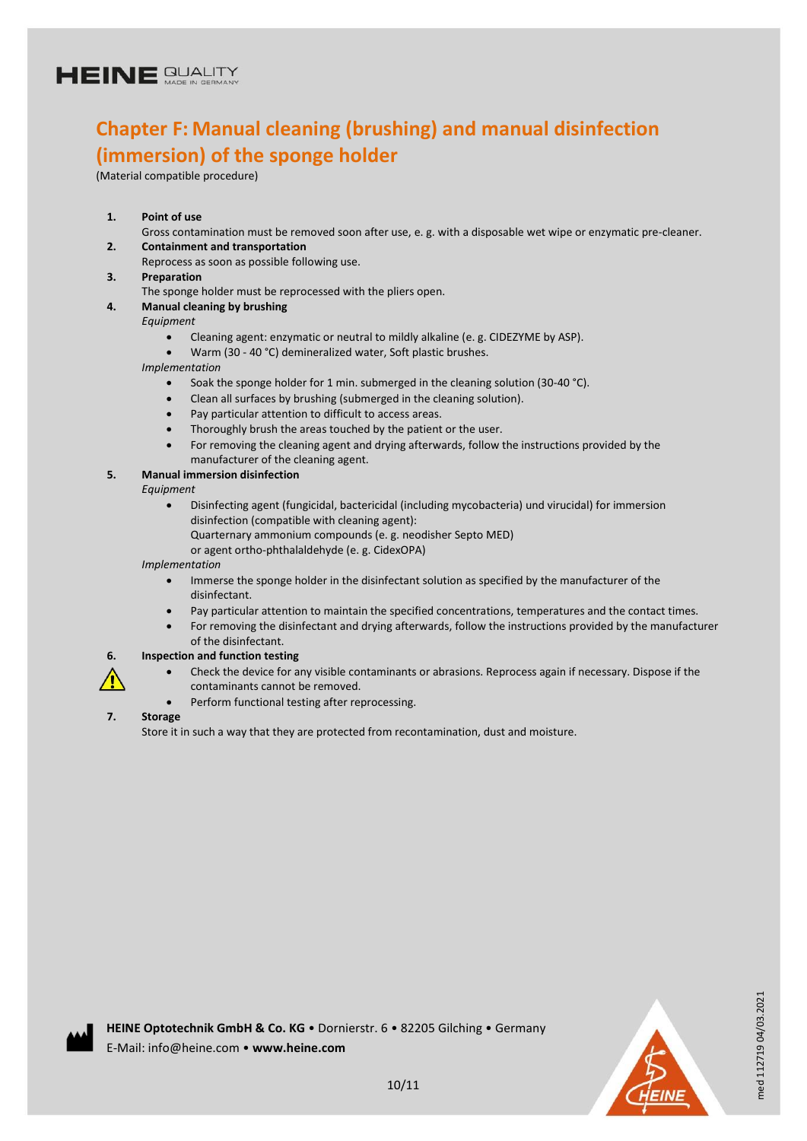### **Chapter F: Manual cleaning (brushing) and manual disinfection (immersion) of the sponge holder**

(Material compatible procedure)

#### **1. Point of use**

- Gross contamination must be removed soon after use, e. g. with a disposable wet wipe or enzymatic pre-cleaner.
- **2. Containment and transportation**
- Reprocess as soon as possible following use.
- **3. Preparation**
	- The sponge holder must be reprocessed with the pliers open.
- **4. Manual cleaning by brushing**
	- *Equipment*
		- Cleaning agent: enzymatic or neutral to mildly alkaline (e. g. CIDEZYME by ASP).
		- Warm (30 40 °C) demineralized water, Soft plastic brushes.

*Implementation*

- Soak the sponge holder for 1 min. submerged in the cleaning solution (30-40 °C).
- Clean all surfaces by brushing (submerged in the cleaning solution).
- Pay particular attention to difficult to access areas.
- Thoroughly brush the areas touched by the patient or the user.
- For removing the cleaning agent and drying afterwards, follow the instructions provided by the manufacturer of the cleaning agent.

#### **5. Manual immersion disinfection**

- *Equipment*
	- Disinfecting agent (fungicidal, bactericidal (including mycobacteria) und virucidal) for immersion disinfection (compatible with cleaning agent):
		- Quarternary ammonium compounds (e. g. neodisher Septo MED)
		- or agent ortho-phthalaldehyde (e. g. CidexOPA)

#### *Implementation*

- Immerse the sponge holder in the disinfectant solution as specified by the manufacturer of the disinfectant.
- Pay particular attention to maintain the specified concentrations, temperatures and the contact times.
- For removing the disinfectant and drying afterwards, follow the instructions provided by the manufacturer of the disinfectant.

#### **6. Inspection and function testing**

- Check the device for any visible contaminants or abrasions. Reprocess again if necessary. Dispose if the contaminants cannot be removed.
- Perform functional testing after reprocessing.

#### **7. Storage**

Store it in such a way that they are protected from recontamination, dust and moisture.